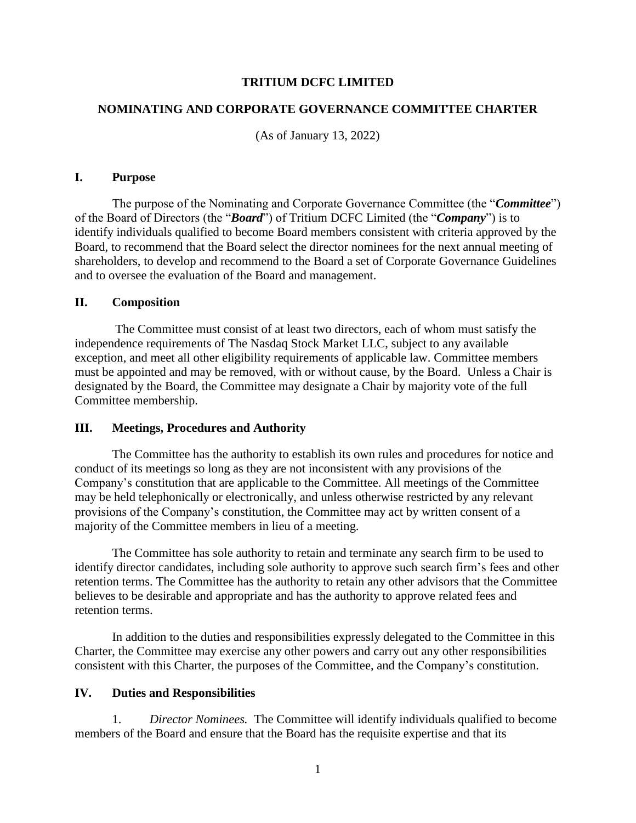## **TRITIUM DCFC LIMITED**

## **NOMINATING AND CORPORATE GOVERNANCE COMMITTEE CHARTER**

(As of January 13, 2022)

### **I. Purpose**

The purpose of the Nominating and Corporate Governance Committee (the "*Committee*") of the Board of Directors (the "*Board*") of Tritium DCFC Limited (the "*Company*") is to identify individuals qualified to become Board members consistent with criteria approved by the Board, to recommend that the Board select the director nominees for the next annual meeting of shareholders, to develop and recommend to the Board a set of Corporate Governance Guidelines and to oversee the evaluation of the Board and management.

#### **II. Composition**

The Committee must consist of at least two directors, each of whom must satisfy the independence requirements of The Nasdaq Stock Market LLC, subject to any available exception, and meet all other eligibility requirements of applicable law. Committee members must be appointed and may be removed, with or without cause, by the Board. Unless a Chair is designated by the Board, the Committee may designate a Chair by majority vote of the full Committee membership.

#### **III. Meetings, Procedures and Authority**

The Committee has the authority to establish its own rules and procedures for notice and conduct of its meetings so long as they are not inconsistent with any provisions of the Company's constitution that are applicable to the Committee. All meetings of the Committee may be held telephonically or electronically, and unless otherwise restricted by any relevant provisions of the Company's constitution, the Committee may act by written consent of a majority of the Committee members in lieu of a meeting.

The Committee has sole authority to retain and terminate any search firm to be used to identify director candidates, including sole authority to approve such search firm's fees and other retention terms. The Committee has the authority to retain any other advisors that the Committee believes to be desirable and appropriate and has the authority to approve related fees and retention terms.

In addition to the duties and responsibilities expressly delegated to the Committee in this Charter, the Committee may exercise any other powers and carry out any other responsibilities consistent with this Charter, the purposes of the Committee, and the Company's constitution.

## **IV. Duties and Responsibilities**

1. *Director Nominees.* The Committee will identify individuals qualified to become members of the Board and ensure that the Board has the requisite expertise and that its